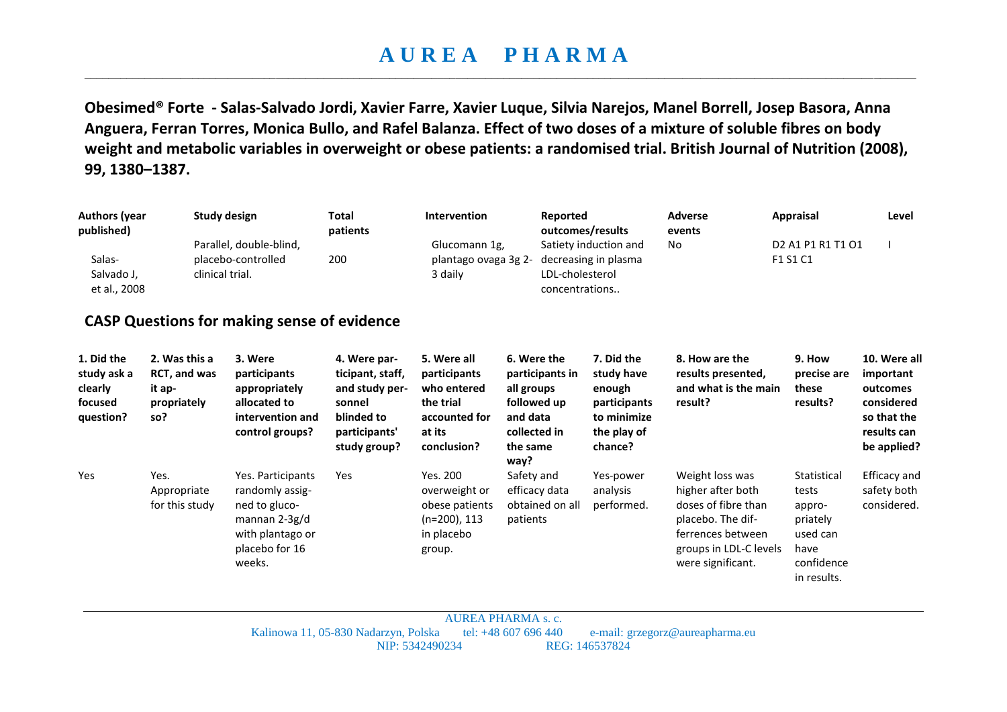## **A U R E A P H A R M A**  \_\_\_\_\_\_\_\_\_\_\_\_\_\_\_\_\_\_\_\_\_\_\_\_\_\_\_\_\_\_\_\_\_\_\_\_\_\_\_\_\_\_\_\_\_\_\_\_\_\_\_\_\_\_\_\_\_\_\_\_\_\_\_\_\_\_\_\_\_\_\_\_\_\_\_\_\_\_\_\_\_\_\_\_\_\_\_\_\_\_\_\_\_\_\_\_\_\_\_\_\_\_\_\_\_\_\_\_\_\_\_\_\_\_\_\_\_\_\_\_\_\_\_\_\_\_\_\_\_\_\_\_\_\_\_\_\_\_\_

**Obesimed® Forte - Salas-Salvado Jordi, Xavier Farre, Xavier Luque, Silvia Narejos, Manel Borrell, Josep Basora, Anna Anguera, Ferran Torres, Monica Bullo, and Rafel Balanza. Effect of two doses of a mixture of soluble fibres on body weight and metabolic variables in overweight or obese patients: a randomised trial. British Journal of Nutrition (2008), 99, 1380–1387.** 

| <b>Authors (year</b><br>published)<br>Salas-                 |                                                               | <b>Study design</b><br>Parallel, double-blind,<br>placebo-controlled                                                     | <b>Total</b><br>patients<br>200                                                                             | Intervention<br>Glucomann 1g,                                                                     | Reported                                                                                                    | outcomes/results<br>Satiety induction and                                                   | <b>Adverse</b><br>events<br>No.                                                                                                                      | <b>Appraisal</b><br>D <sub>2</sub> A <sub>1</sub> P <sub>1</sub> R <sub>1</sub> T <sub>1</sub> O <sub>1</sub><br>F1 S1 C1 | Level                                                                                            |
|--------------------------------------------------------------|---------------------------------------------------------------|--------------------------------------------------------------------------------------------------------------------------|-------------------------------------------------------------------------------------------------------------|---------------------------------------------------------------------------------------------------|-------------------------------------------------------------------------------------------------------------|---------------------------------------------------------------------------------------------|------------------------------------------------------------------------------------------------------------------------------------------------------|---------------------------------------------------------------------------------------------------------------------------|--------------------------------------------------------------------------------------------------|
| Salvado J,<br>et al., 2008                                   |                                                               | clinical trial.                                                                                                          |                                                                                                             | plantago ovaga 3g 2-<br>3 daily                                                                   | LDL-cholesterol<br>concentrations                                                                           | decreasing in plasma                                                                        |                                                                                                                                                      |                                                                                                                           |                                                                                                  |
|                                                              |                                                               | <b>CASP Questions for making sense of evidence</b>                                                                       |                                                                                                             |                                                                                                   |                                                                                                             |                                                                                             |                                                                                                                                                      |                                                                                                                           |                                                                                                  |
| 1. Did the<br>study ask a<br>clearly<br>focused<br>question? | 2. Was this a<br>RCT, and was<br>it ap-<br>propriately<br>so? | 3. Were<br>participants<br>appropriately<br>allocated to<br>intervention and<br>control groups?                          | 4. Were par-<br>ticipant, staff,<br>and study per-<br>sonnel<br>blinded to<br>participants'<br>study group? | 5. Were all<br>participants<br>who entered<br>the trial<br>accounted for<br>at its<br>conclusion? | 6. Were the<br>participants in<br>all groups<br>followed up<br>and data<br>collected in<br>the same<br>way? | 7. Did the<br>study have<br>enough<br>participants<br>to minimize<br>the play of<br>chance? | 8. How are the<br>results presented,<br>and what is the main<br>result?                                                                              | 9. How<br>precise are<br>these<br>results?                                                                                | 10. Were all<br>important<br>outcomes<br>considered<br>so that the<br>results can<br>be applied? |
| Yes                                                          | Yes.<br>Appropriate<br>for this study                         | Yes. Participants<br>randomly assig-<br>ned to gluco-<br>mannan $2-3g/d$<br>with plantago or<br>placebo for 16<br>weeks. | Yes                                                                                                         | Yes. 200<br>overweight or<br>obese patients<br>$(n=200)$ , 113<br>in placebo<br>group.            | Safety and<br>efficacy data<br>obtained on all<br>patients                                                  | Yes-power<br>analysis<br>performed.                                                         | Weight loss was<br>higher after both<br>doses of fibre than<br>placebo. The dif-<br>ferrences between<br>groups in LDL-C levels<br>were significant. | Statistical<br>tests<br>appro-<br>priately<br>used can<br>have<br>confidence<br>in results.                               | <b>Efficacy and</b><br>safety both<br>considered.                                                |